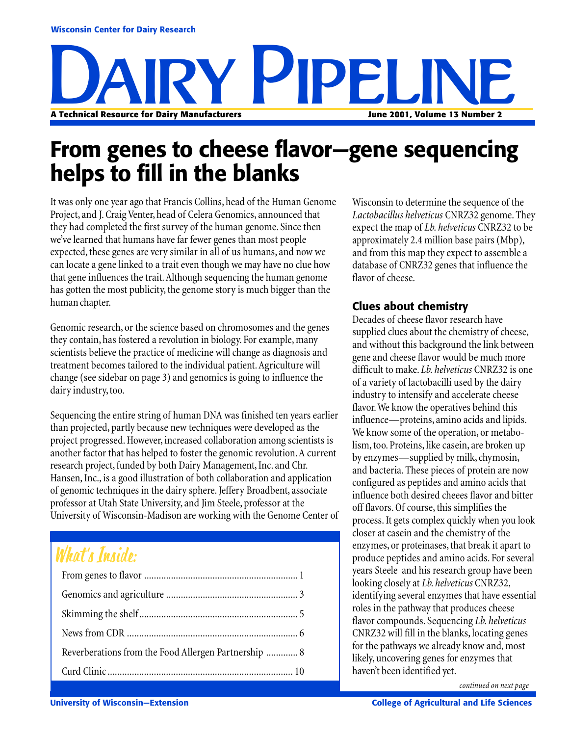

# **From genes to cheese flavor—gene sequencing helps to fill in the blanks**

It was only one year ago that Francis Collins, head of the Human Genome Project, and J. Craig Venter, head of Celera Genomics, announced that they had completed the first survey of the human genome. Since then we've learned that humans have far fewer genes than most people expected, these genes are very similar in all of us humans, and now we can locate a gene linked to a trait even though we may have no clue how that gene influences the trait. Although sequencing the human genome has gotten the most publicity, the genome story is much bigger than the human chapter.

Genomic research, or the science based on chromosomes and the genes they contain, has fostered a revolution in biology. For example, many scientists believe the practice of medicine will change as diagnosis and treatment becomes tailored to the individual patient. Agriculture will change (see sidebar on page 3) and genomics is going to influence the dairy industry, too.

Sequencing the entire string of human DNA was finished ten years earlier than projected, partly because new techniques were developed as the project progressed. However, increased collaboration among scientists is another factor that has helped to foster the genomic revolution. A current research project, funded by both Dairy Management, Inc. and Chr. Hansen, Inc., is a good illustration of both collaboration and application of genomic techniques in the dairy sphere. Jeffery Broadbent, associate professor at Utah State University, and Jim Steele, professor at the University of Wisconsin-Madison are working with the Genome Center of

## What's Inside:

| Reverberations from the Food Allergen Partnership  8 |
|------------------------------------------------------|
|                                                      |

Wisconsin to determine the sequence of the *Lactobacillus helveticus* CNRZ32 genome. They expect the map of *Lb. helveticus* CNRZ32 to be approximately 2.4 million base pairs (Mbp), and from this map they expect to assemble a database of CNRZ32 genes that influence the flavor of cheese.

#### **Clues about chemistry**

Decades of cheese flavor research have supplied clues about the chemistry of cheese, and without this background the link between gene and cheese flavor would be much more difficult to make. *Lb. helveticus* CNRZ32 is one of a variety of lactobacilli used by the dairy industry to intensify and accelerate cheese flavor. We know the operatives behind this influence—proteins, amino acids and lipids. We know some of the operation, or metabolism, too. Proteins, like casein, are broken up by enzymes—supplied by milk, chymosin, and bacteria. These pieces of protein are now configured as peptides and amino acids that influence both desired cheees flavor and bitter off flavors. Of course, this simplifies the process. It gets complex quickly when you look closer at casein and the chemistry of the enzymes, or proteinases, that break it apart to produce peptides and amino acids. For several years Steele and his research group have been looking closely at *Lb. helveticus* CNRZ32, identifying several enzymes that have essential roles in the pathway that produces cheese flavor compounds. Sequencing *Lb. helveticus* CNRZ32 will fill in the blanks, locating genes for the pathways we already know and, most likely, uncovering genes for enzymes that haven't been identified yet.

*continued on next page*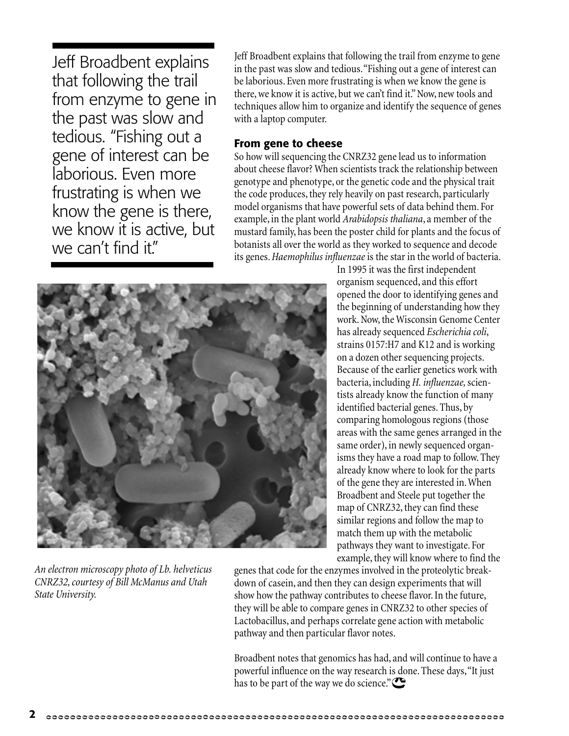Jeff Broadbent explains that following the trail from enzyme to gene in the past was slow and tedious. "Fishing out a gene of interest can be laborious. Even more frustrating is when we know the gene is there, we know it is active, but we can't find it."

Jeff Broadbent explains that following the trail from enzyme to gene in the past was slow and tedious. "Fishing out a gene of interest can be laborious. Even more frustrating is when we know the gene is there, we know it is active, but we can't find it." Now, new tools and techniques allow him to organize and identify the sequence of genes with a laptop computer.

#### **From gene to cheese**

So how will sequencing the CNRZ32 gene lead us to information about cheese flavor? When scientists track the relationship between genotype and phenotype, or the genetic code and the physical trait the code produces, they rely heavily on past research, particularly model organisms that have powerful sets of data behind them. For example, in the plant world *Arabidopsis thaliana*, a member of the mustard family, has been the poster child for plants and the focus of botanists all over the world as they worked to sequence and decode its genes. *Haemophilus influenzae* is the star in the world of bacteria.



*An electron microscopy photo of Lb. helveticus CNRZ32, courtesy of Bill McManus and Utah State University.*

In 1995 it was the first independent organism sequenced, and this effort opened the door to identifying genes and the beginning of understanding how they work. Now, the Wisconsin Genome Center has already sequenced *Escherichia coli*, strains 0157:H7 and K12 and is working on a dozen other sequencing projects. Because of the earlier genetics work with bacteria, including *H. influenzae,* scientists already know the function of many identified bacterial genes. Thus, by comparing homologous regions (those areas with the same genes arranged in the same order), in newly sequenced organisms they have a road map to follow. They already know where to look for the parts of the gene they are interested in. When Broadbent and Steele put together the map of CNRZ32, they can find these similar regions and follow the map to match them up with the metabolic pathways they want to investigate. For example, they will know where to find the

genes that code for the enzymes involved in the proteolytic breakdown of casein, and then they can design experiments that will show how the pathway contributes to cheese flavor. In the future, they will be able to compare genes in CNRZ32 to other species of Lactobacillus, and perhaps correlate gene action with metabolic pathway and then particular flavor notes.

Broadbent notes that genomics has had, and will continue to have a powerful influence on the way research is done. These days, "It just has to be part of the way we do science."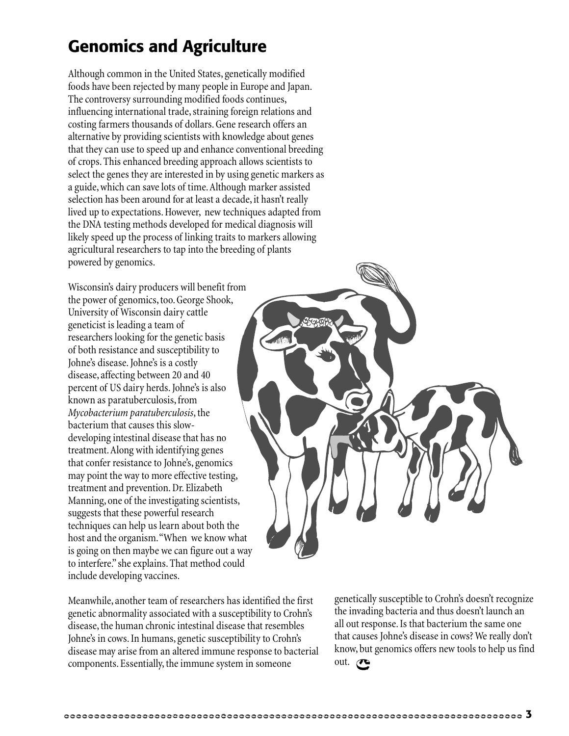## **Genomics and Agriculture**

Although common in the United States, genetically modified foods have been rejected by many people in Europe and Japan. The controversy surrounding modified foods continues, influencing international trade, straining foreign relations and costing farmers thousands of dollars. Gene research offers an alternative by providing scientists with knowledge about genes that they can use to speed up and enhance conventional breeding of crops. This enhanced breeding approach allows scientists to select the genes they are interested in by using genetic markers as a guide, which can save lots of time. Although marker assisted selection has been around for at least a decade, it hasn't really lived up to expectations. However, new techniques adapted from the DNA testing methods developed for medical diagnosis will likely speed up the process of linking traits to markers allowing agricultural researchers to tap into the breeding of plants powered by genomics.

Wisconsin's dairy producers will benefit from the power of genomics, too. George Shook, University of Wisconsin dairy cattle geneticist is leading a team of researchers looking for the genetic basis of both resistance and susceptibility to Johne's disease. Johne's is a costly disease, affecting between 20 and 40 percent of US dairy herds. Johne's is also known as paratuberculosis, from *Mycobacterium paratuberculosis*, the bacterium that causes this slowdeveloping intestinal disease that has no treatment. Along with identifying genes that confer resistance to Johne's, genomics may point the way to more effective testing, treatment and prevention. Dr. Elizabeth Manning, one of the investigating scientists, suggests that these powerful research techniques can help us learn about both the host and the organism. "When we know what is going on then maybe we can figure out a way to interfere." she explains. That method could include developing vaccines.

Meanwhile, another team of researchers has identified the first genetic abnormality associated with a susceptibility to Crohn's disease, the human chronic intestinal disease that resembles Johne's in cows. In humans, genetic susceptibility to Crohn's disease may arise from an altered immune response to bacterial components. Essentially, the immune system in someone

genetically susceptible to Crohn's doesn't recognize the invading bacteria and thus doesn't launch an all out response. Is that bacterium the same one that causes Johne's disease in cows? We really don't know, but genomics offers new tools to help us find out.  $\bullet$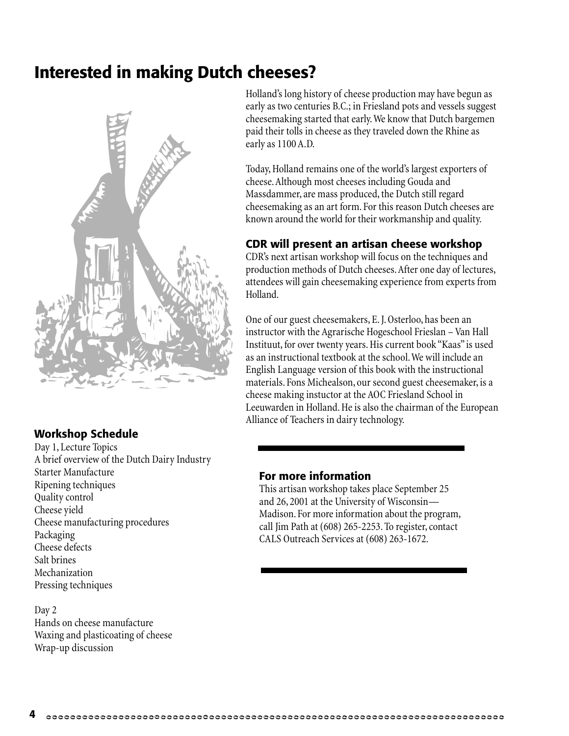### **Interested in making Dutch cheeses?**



#### **Workshop Schedule**

Day 1, Lecture Topics A brief overview of the Dutch Dairy Industry Starter Manufacture Ripening techniques Quality control Cheese yield Cheese manufacturing procedures Packaging Cheese defects Salt brines Mechanization Pressing techniques

Day 2 Hands on cheese manufacture Waxing and plasticoating of cheese Wrap-up discussion

Holland's long history of cheese production may have begun as early as two centuries B.C.; in Friesland pots and vessels suggest cheesemaking started that early. We know that Dutch bargemen paid their tolls in cheese as they traveled down the Rhine as early as 1100 A.D.

Today, Holland remains one of the world's largest exporters of cheese. Although most cheeses including Gouda and Massdammer, are mass produced, the Dutch still regard cheesemaking as an art form. For this reason Dutch cheeses are known around the world for their workmanship and quality.

#### **CDR will present an artisan cheese workshop**

CDR's next artisan workshop will focus on the techniques and production methods of Dutch cheeses. After one day of lectures, attendees will gain cheesemaking experience from experts from Holland.

One of our guest cheesemakers, E. J. Osterloo, has been an instructor with the Agrarische Hogeschool Frieslan – Van Hall Instituut, for over twenty years. His current book "Kaas" is used as an instructional textbook at the school. We will include an English Language version of this book with the instructional materials. Fons Michealson, our second guest cheesemaker, is a cheese making instuctor at the AOC Friesland School in Leeuwarden in Holland. He is also the chairman of the European Alliance of Teachers in dairy technology.

#### **For more information**

This artisan workshop takes place September 25 and 26, 2001 at the University of Wisconsin— Madison. For more information about the program, call Jim Path at (608) 265-2253. To register, contact CALS Outreach Services at (608) 263-1672.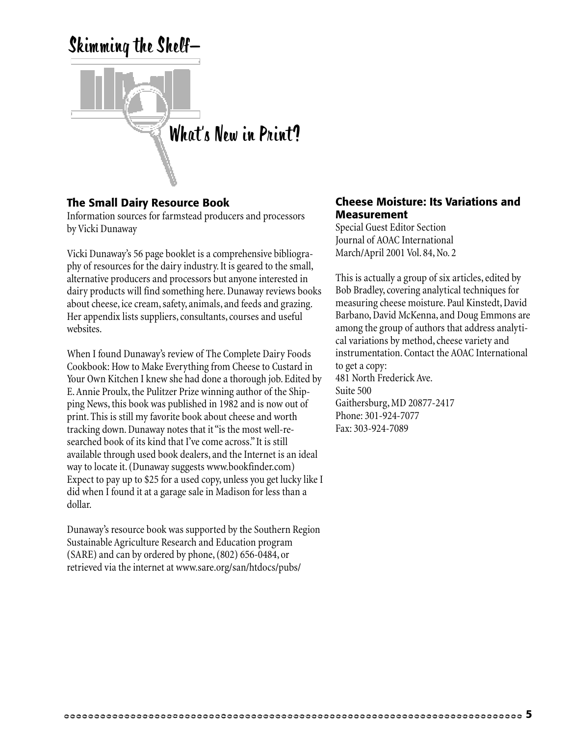

#### **The Small Dairy Resource Book**

Information sources for farmstead producers and processors by Vicki Dunaway

Vicki Dunaway's 56 page booklet is a comprehensive bibliography of resources for the dairy industry. It is geared to the small, alternative producers and processors but anyone interested in dairy products will find something here. Dunaway reviews books about cheese, ice cream, safety, animals, and feeds and grazing. Her appendix lists suppliers, consultants, courses and useful websites.

When I found Dunaway's review of The Complete Dairy Foods Cookbook: How to Make Everything from Cheese to Custard in Your Own Kitchen I knew she had done a thorough job. Edited by E. Annie Proulx, the Pulitzer Prize winning author of the Shipping News, this book was published in 1982 and is now out of print. This is still my favorite book about cheese and worth tracking down. Dunaway notes that it "is the most well-researched book of its kind that I've come across." It is still available through used book dealers, and the Internet is an ideal way to locate it. (Dunaway suggests www.bookfinder.com) Expect to pay up to \$25 for a used copy, unless you get lucky like I did when I found it at a garage sale in Madison for less than a dollar.

Dunaway's resource book was supported by the Southern Region Sustainable Agriculture Research and Education program (SARE) and can by ordered by phone, (802) 656-0484, or retrieved via the internet at www.sare.org/san/htdocs/pubs/

#### **Cheese Moisture: Its Variations and Measurement**

Special Guest Editor Section Journal of AOAC International March/April 2001 Vol. 84, No. 2

This is actually a group of six articles, edited by Bob Bradley, covering analytical techniques for measuring cheese moisture. Paul Kinstedt, David Barbano, David McKenna, and Doug Emmons are among the group of authors that address analytical variations by method, cheese variety and instrumentation. Contact the AOAC International to get a copy: 481 North Frederick Ave. Suite 500 Gaithersburg, MD 20877-2417 Phone: 301-924-7077 Fax: 303-924-7089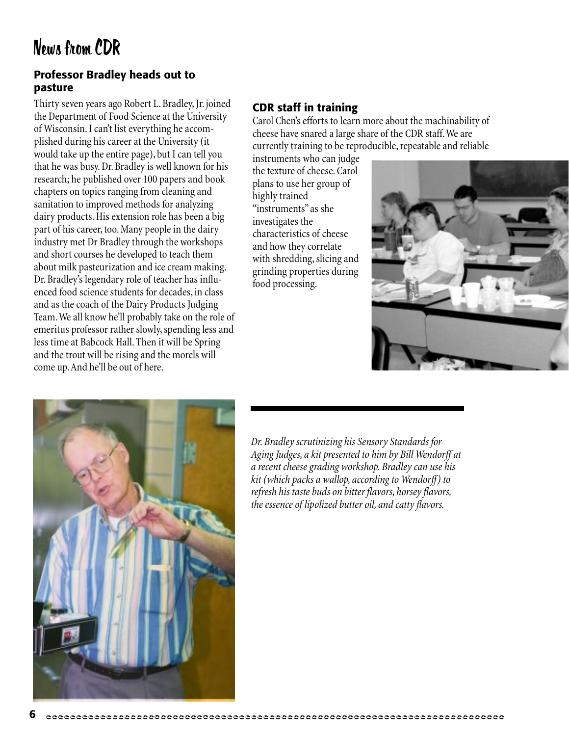#### **Professor Bradley heads out to pasture**

Thirty seven years ago Robert L. Bradley, Jr. joined the Department of Food Science at the University of Wisconsin. I can't list everything he accomplished during his career at the University (it would take up the entire page), but I can tell you that he was busy. Dr. Bradley is well known for his research; he published over 100 papers and book chapters on topics ranging from cleaning and sanitation to improved methods for analyzing dairy products. His extension role has been a big part of his career, too. Many people in the dairy industry met Dr Bradley through the workshops and short courses he developed to teach them about milk pasteurization and ice cream making. Dr. Bradley's legendary role of teacher has influenced food science students for decades, in class and as the coach of the Dairy Products Judging Team. We all know he'll probably take on the role of emeritus professor rather slowly, spending less and less time at Babcock Hall. Then it will be Spring and the trout will be rising and the morels will come up. And he'll be out of here.

#### **CDR staff in training**

Carol Chen's efforts to learn more about the machinability of cheese have snared a large share of the CDR staff. We are currently training to be reproducible, repeatable and reliable

instruments who can judge the texture of cheese. Carol plans to use her group of highly trained "instruments" as she investigates the characteristics of cheese and how they correlate with shredding, slicing and grinding properties during food processing.





*Dr. Bradley scrutinizing his Sensory Standards for Aging Judges, a kit presented to him by Bill Wendorff at a recent cheese grading workshop. Bradley can use his kit (which packs a wallop, according to Wendorff) to refresh his taste buds on bitter flavors, horsey flavors, the essence of lipolized butter oil, and catty flavors.*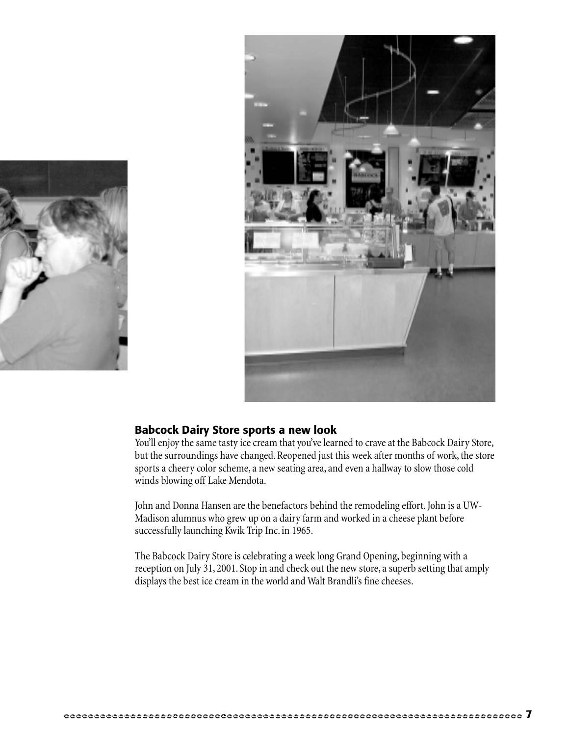



#### **Babcock Dairy Store sports a new look**

You'll enjoy the same tasty ice cream that you've learned to crave at the Babcock Dairy Store, but the surroundings have changed. Reopened just this week after months of work, the store sports a cheery color scheme, a new seating area, and even a hallway to slow those cold winds blowing off Lake Mendota.

John and Donna Hansen are the benefactors behind the remodeling effort. John is a UW-Madison alumnus who grew up on a dairy farm and worked in a cheese plant before successfully launching Kwik Trip Inc. in 1965.

The Babcock Dairy Store is celebrating a week long Grand Opening, beginning with a reception on July 31, 2001. Stop in and check out the new store, a superb setting that amply displays the best ice cream in the world and Walt Brandli's fine cheeses.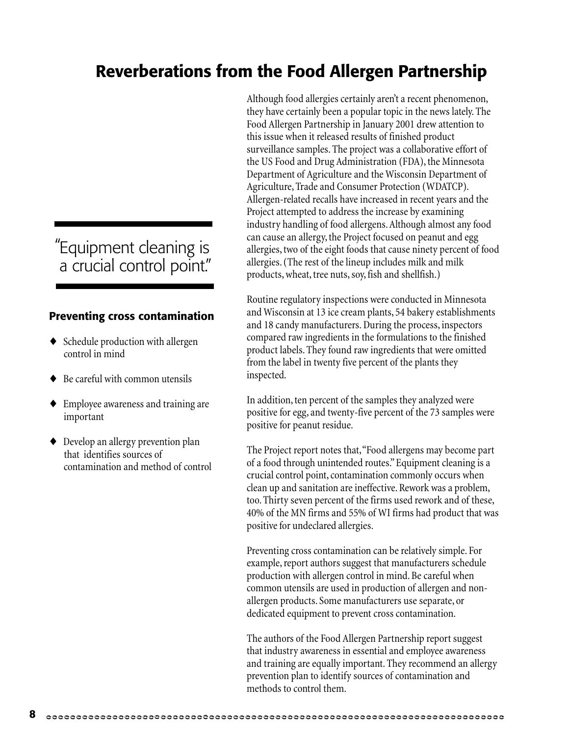## **Reverberations from the Food Allergen Partnership**

### Equipment cleaning is " a crucial control point."

#### **Preventing cross contamination**

- ♦ Schedule production with allergen control in mind
- Be careful with common utensils
- ♦ Employee awareness and training are important
- ♦ Develop an allergy prevention plan that identifies sources of contamination and method of control

Although food allergies certainly aren't a recent phenomenon, they have certainly been a popular topic in the news lately. The Food Allergen Partnership in January 2001 drew attention to this issue when it released results of finished product surveillance samples. The project was a collaborative effort of the US Food and Drug Administration (FDA), the Minnesota Department of Agriculture and the Wisconsin Department of Agriculture, Trade and Consumer Protection (WDATCP). Allergen-related recalls have increased in recent years and the Project attempted to address the increase by examining industry handling of food allergens. Although almost any food can cause an allergy, the Project focused on peanut and egg allergies, two of the eight foods that cause ninety percent of food allergies. (The rest of the lineup includes milk and milk products, wheat, tree nuts, soy, fish and shellfish.)

Routine regulatory inspections were conducted in Minnesota and Wisconsin at 13 ice cream plants, 54 bakery establishments and 18 candy manufacturers. During the process, inspectors compared raw ingredients in the formulations to the finished product labels. They found raw ingredients that were omitted from the label in twenty five percent of the plants they inspected.

In addition, ten percent of the samples they analyzed were positive for egg, and twenty-five percent of the 73 samples were positive for peanut residue.

The Project report notes that, "Food allergens may become part of a food through unintended routes." Equipment cleaning is a crucial control point, contamination commonly occurs when clean up and sanitation are ineffective. Rework was a problem, too. Thirty seven percent of the firms used rework and of these, 40% of the MN firms and 55% of WI firms had product that was positive for undeclared allergies.

Preventing cross contamination can be relatively simple. For example, report authors suggest that manufacturers schedule production with allergen control in mind. Be careful when common utensils are used in production of allergen and nonallergen products. Some manufacturers use separate, or dedicated equipment to prevent cross contamination.

The authors of the Food Allergen Partnership report suggest that industry awareness in essential and employee awareness and training are equally important. They recommend an allergy prevention plan to identify sources of contamination and methods to control them.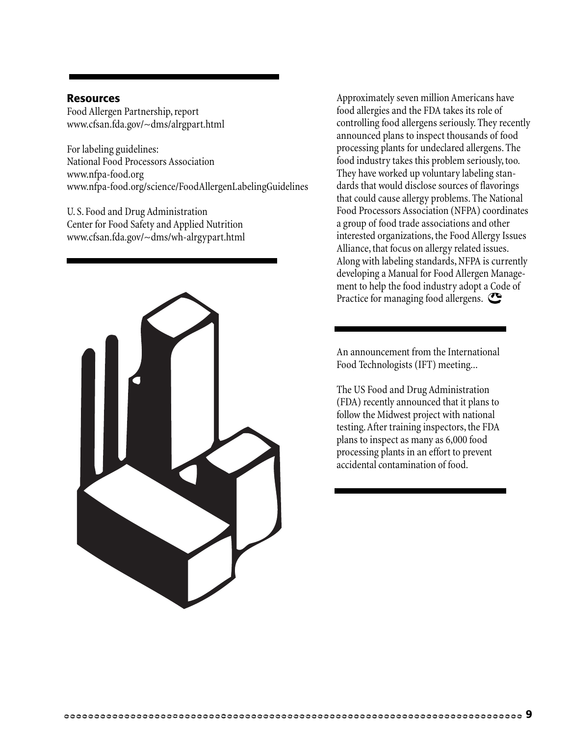#### **Resources**

Food Allergen Partnership, report www.cfsan.fda.gov/~dms/alrgpart.html

For labeling guidelines: National Food Processors Association www.nfpa-food.org www.nfpa-food.org/science/FoodAllergenLabelingGuidelines

U. S. Food and Drug Administration Center for Food Safety and Applied Nutrition www.cfsan.fda.gov/~dms/wh-alrgypart.html



Approximately seven million Americans have food allergies and the FDA takes its role of controlling food allergens seriously. They recently announced plans to inspect thousands of food processing plants for undeclared allergens. The food industry takes this problem seriously, too. They have worked up voluntary labeling standards that would disclose sources of flavorings that could cause allergy problems. The National Food Processors Association (NFPA) coordinates a group of food trade associations and other interested organizations, the Food Allergy Issues Alliance, that focus on allergy related issues. Along with labeling standards, NFPA is currently developing a Manual for Food Allergen Management to help the food industry adopt a Code of Practice for managing food allergens.

An announcement from the International Food Technologists (IFT) meeting...

The US Food and Drug Administration (FDA) recently announced that it plans to follow the Midwest project with national testing. After training inspectors, the FDA plans to inspect as many as 6,000 food processing plants in an effort to prevent accidental contamination of food.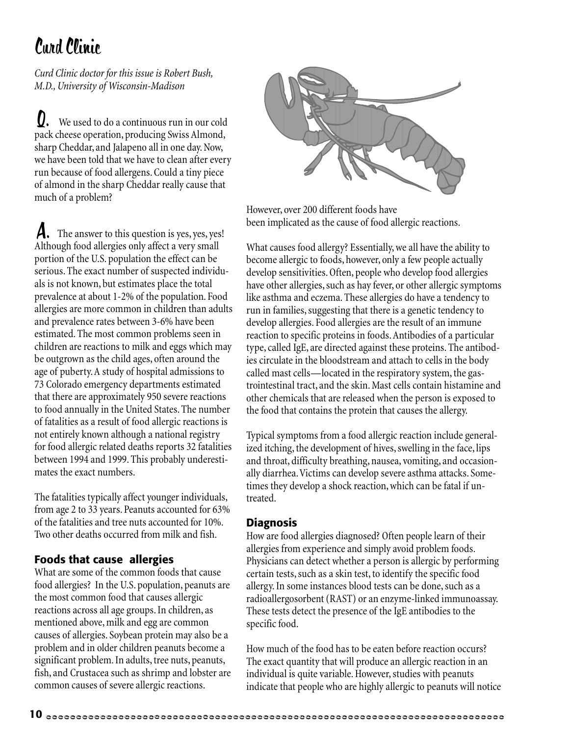# Curd Clinic

*Curd Clinic doctor for this issue is Robert Bush, M.D., University of Wisconsin-Madison*

 We used to do a continuous run in our cold pack cheese operation, producing Swiss Almond, sharp Cheddar, and Jalapeno all in one day. Now, we have been told that we have to clean after every run because of food allergens. Could a tiny piece of almond in the sharp Cheddar really cause that much of a problem?  $\boldsymbol{U}$ .

 The answer to this question is yes, yes, yes! Although food allergies only affect a very small portion of the U.S. population the effect can be serious. The exact number of suspected individuals is not known, but estimates place the total prevalence at about 1-2% of the population. Food allergies are more common in children than adults and prevalence rates between 3-6% have been estimated. The most common problems seen in children are reactions to milk and eggs which may be outgrown as the child ages, often around the age of puberty. A study of hospital admissions to 73 Colorado emergency departments estimated that there are approximately 950 severe reactions to food annually in the United States. The number of fatalities as a result of food allergic reactions is not entirely known although a national registry for food allergic related deaths reports 32 fatalities between 1994 and 1999. This probably underestimates the exact numbers. A.

The fatalities typically affect younger individuals, from age 2 to 33 years. Peanuts accounted for 63% of the fatalities and tree nuts accounted for 10%. Two other deaths occurred from milk and fish.

#### **Foods that cause allergies**

What are some of the common foods that cause food allergies? In the U.S. population, peanuts are the most common food that causes allergic reactions across all age groups. In children, as mentioned above, milk and egg are common causes of allergies. Soybean protein may also be a problem and in older children peanuts become a significant problem. In adults, tree nuts, peanuts, fish, and Crustacea such as shrimp and lobster are common causes of severe allergic reactions.



However, over 200 different foods have been implicated as the cause of food allergic reactions.

What causes food allergy? Essentially, we all have the ability to become allergic to foods, however, only a few people actually develop sensitivities. Often, people who develop food allergies have other allergies, such as hay fever, or other allergic symptoms like asthma and eczema. These allergies do have a tendency to run in families, suggesting that there is a genetic tendency to develop allergies. Food allergies are the result of an immune reaction to specific proteins in foods. Antibodies of a particular type, called IgE, are directed against these proteins. The antibodies circulate in the bloodstream and attach to cells in the body called mast cells—located in the respiratory system, the gastrointestinal tract, and the skin. Mast cells contain histamine and other chemicals that are released when the person is exposed to the food that contains the protein that causes the allergy.

Typical symptoms from a food allergic reaction include generalized itching, the development of hives, swelling in the face, lips and throat, difficulty breathing, nausea, vomiting, and occasionally diarrhea. Victims can develop severe asthma attacks. Sometimes they develop a shock reaction, which can be fatal if untreated.

#### **Diagnosis**

How are food allergies diagnosed? Often people learn of their allergies from experience and simply avoid problem foods. Physicians can detect whether a person is allergic by performing certain tests, such as a skin test, to identify the specific food allergy. In some instances blood tests can be done, such as a radioallergosorbent (RAST) or an enzyme-linked immunoassay. These tests detect the presence of the IgE antibodies to the specific food.

How much of the food has to be eaten before reaction occurs? The exact quantity that will produce an allergic reaction in an individual is quite variable. However, studies with peanuts indicate that people who are highly allergic to peanuts will notice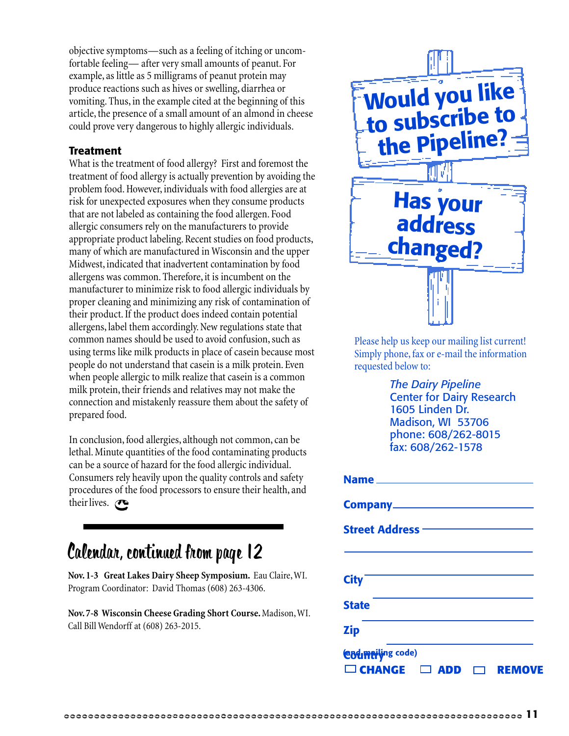objective symptoms—such as a feeling of itching or uncomfortable feeling— after very small amounts of peanut. For example, as little as 5 milligrams of peanut protein may produce reactions such as hives or swelling, diarrhea or vomiting. Thus, in the example cited at the beginning of this article, the presence of a small amount of an almond in cheese could prove very dangerous to highly allergic individuals.

#### **Treatment**

What is the treatment of food allergy? First and foremost the treatment of food allergy is actually prevention by avoiding the problem food. However, individuals with food allergies are at risk for unexpected exposures when they consume products that are not labeled as containing the food allergen. Food allergic consumers rely on the manufacturers to provide appropriate product labeling. Recent studies on food products, many of which are manufactured in Wisconsin and the upper Midwest, indicated that inadvertent contamination by food allergens was common. Therefore, it is incumbent on the manufacturer to minimize risk to food allergic individuals by proper cleaning and minimizing any risk of contamination of their product. If the product does indeed contain potential allergens, label them accordingly. New regulations state that common names should be used to avoid confusion, such as using terms like milk products in place of casein because most people do not understand that casein is a milk protein. Even when people allergic to milk realize that casein is a common milk protein, their friends and relatives may not make the connection and mistakenly reassure them about the safety of prepared food.

In conclusion, food allergies, although not common, can be lethal. Minute quantities of the food contaminating products can be a source of hazard for the food allergic individual. Consumers rely heavily upon the quality controls and safety procedures of the food processors to ensure their health, and their lives.  $\bullet$ 

## Calendar, continued from page 12

**Nov. 1-3 Great Lakes Dairy Sheep Symposium.** Eau Claire, WI. Program Coordinator: David Thomas (608) 263-4306.

**Nov. 7-8 Wisconsin Cheese Grading Short Course.** Madison, WI. Call Bill Wendorff at (608) 263-2015.



Please help us keep our mailing list current! Simply phone, fax or e-mail the information requested below to:

> *The Dairy Pipeline* Center for Dairy Research 1605 Linden Dr. Madison, WI 53706 phone: 608/262-8015 fax: 608/262-1578

| Street Address ––––––––––––––                             |
|-----------------------------------------------------------|
|                                                           |
| <b>City</b>                                               |
| <b>State</b>                                              |
| <b>Zip</b>                                                |
| <b>Codmeiling code)</b>                                   |
| $\Box$ CHANGE $\Box$<br><b>REMOVE</b><br>D<br>Ы<br>A<br>┑ |